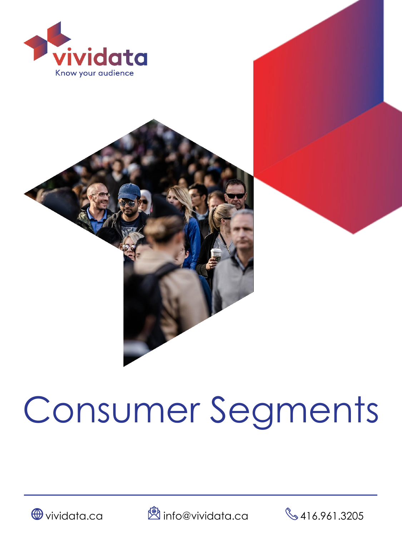



# Consumer Segments





 $\bigoplus$  vividata.ca  $\bigotimes$  info@vividata.ca  $\bigotimes$  416.961.3205

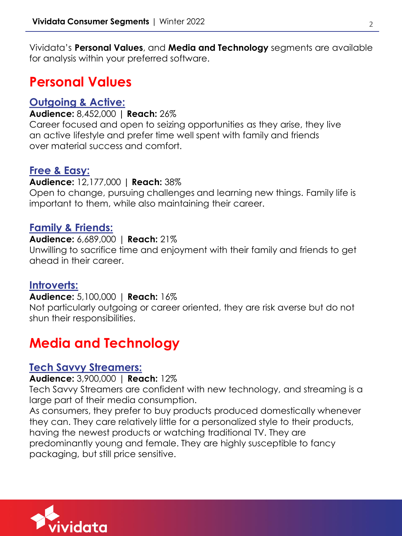Vividata's **Personal Values**, and **Media and Technology** segments are available for analysis within your preferred software.

# **Personal Values**

# **Outgoing & Active:**

#### **Audience:** 8,452,000 **| Reach:** 26%

Career focused and open to seizing opportunities as they arise, they live an active lifestyle and prefer time well spent with family and friends over material success and comfort.

# **Free & Easy:**

#### **Audience:** 12,177,000 **| Reach:** 38%

Open to change, pursuing challenges and learning new things. Family life is important to them, while also maintaining their career.

# **Family & Friends:**

#### **Audience:** 6,689,000 | **Reach:** 21%

Unwilling to sacrifice time and enjoyment with their family and friends to get ahead in their career.

# **Introverts:**

#### **Audience:** 5,100,000 | **Reach:** 16%

Not particularly outgoing or career oriented, they are risk averse but do not shun their responsibilities.

# **Media and Technology**

## **Tech Savvy Streamers:**

#### **Audience:** 3,900,000 | **Reach:** 12%

Tech Savvy Streamers are confident with new technology, and streaming is a large part of their media consumption.

As consumers, they prefer to buy products produced domestically whenever they can. They care relatively little for a personalized style to their products, having the newest products or watching traditional TV. They are predominantly young and female. They are highly susceptible to fancy packaging, but still price sensitive.

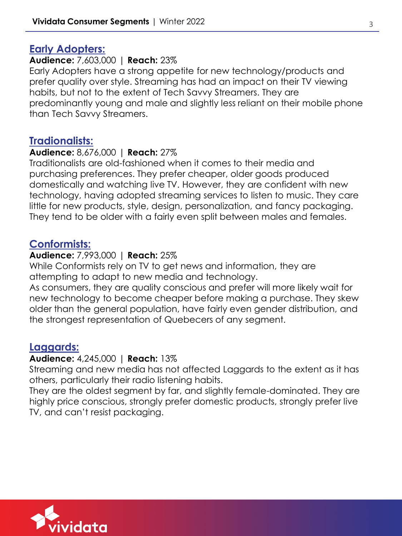# **Early Adopters:**

#### **Audience:** 7,603,000 | **Reach:** 23%

Early Adopters have a strong appetite for new technology/products and prefer quality over style. Streaming has had an impact on their TV viewing habits, but not to the extent of Tech Savvy Streamers. They are predominantly young and male and slightly less reliant on their mobile phone than Tech Savvy Streamers.

## **Tradionalists:**

#### **Audience:** 8,676,000 | **Reach:** 27%

Traditionalists are old-fashioned when it comes to their media and purchasing preferences. They prefer cheaper, older goods produced domestically and watching live TV. However, they are confident with new technology, having adopted streaming services to listen to music. They care little for new products, style, design, personalization, and fancy packaging. They tend to be older with a fairly even split between males and females.

## **Conformists:**

#### **Audience:** 7,993,000 | **Reach:** 25%

While Conformists rely on TV to get news and information, they are attempting to adapt to new media and technology.

As consumers, they are quality conscious and prefer will more likely wait for new technology to become cheaper before making a purchase. They skew older than the general population, have fairly even gender distribution, and the strongest representation of Quebecers of any segment.

# **Laggards:**

# **Audience:** 4,245,000 | **Reach:** 13%

Streaming and new media has not affected Laggards to the extent as it has others, particularly their radio listening habits.

They are the oldest segment by far, and slightly female-dominated. They are highly price conscious, strongly prefer domestic products, strongly prefer live TV, and can't resist packaging.

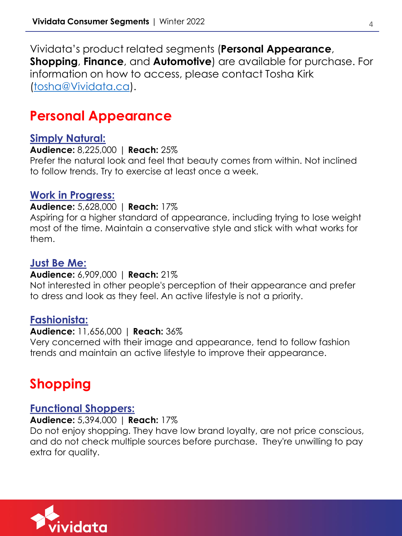Vividata's product related segments (**Personal Appearance**, **Shopping**, **Finance**, and **Automotive**) are available for purchase. For information on how to access, please contact Tosha Kirk [\(tosha@Vividata.ca](mailto:tosha@Vividata.ca)).

# **Personal Appearance**

## **Simply Natural:**

**Audience:** 8,225,000 | **Reach:** 25%

Prefer the natural look and feel that beauty comes from within. Not inclined to follow trends. Try to exercise at least once a week.

# **Work in Progress:**

#### **Audience:** 5,628,000 | **Reach:** 17%

Aspiring for a higher standard of appearance, including trying to lose weight most of the time. Maintain a conservative style and stick with what works for them.

# **Just Be Me:**

#### **Audience:** 6,909,000 | **Reach:** 21%

Not interested in other people's perception of their appearance and prefer to dress and look as they feel. An active lifestyle is not a priority.

# **Fashionista:**

# **Audience:** 11,656,000 | **Reach:** 36%

Very concerned with their image and appearance, tend to follow fashion trends and maintain an active lifestyle to improve their appearance.

# **Shopping**

# **Functional Shoppers:**

#### **Audience:** 5,394,000 | **Reach:** 17%

Do not enjoy shopping. They have low brand loyalty, are not price conscious, and do not check multiple sources before purchase. They're unwilling to pay extra for quality.

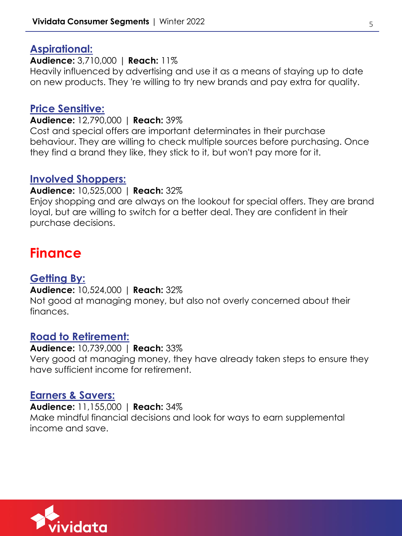# **Aspirational:**

**Audience:** 3,710,000 | **Reach:** 11%

Heavily influenced by advertising and use it as a means of staying up to date on new products. They 're willing to try new brands and pay extra for quality.

# **Price Sensitive:**

**Audience:** 12,790,000 | **Reach:** 39%

Cost and special offers are important determinates in their purchase behaviour. They are willing to check multiple sources before purchasing. Once they find a brand they like, they stick to it, but won't pay more for it.

## **Involved Shoppers:**

**Audience:** 10,525,000 | **Reach:** 32%

Enjoy shopping and are always on the lookout for special offers. They are brand loyal, but are willing to switch for a better deal. They are confident in their purchase decisions.

# **Finance**

# **Getting By:**

**Audience:** 10,524,000 | **Reach:** 32% Not good at managing money, but also not overly concerned about their finances.

# **Road to Retirement:**

**Audience:** 10,739,000 | **Reach:** 33% Very good at managing money, they have already taken steps to ensure they have sufficient income for retirement.

#### **Earners & Savers:**

**Audience:** 11,155,000 | **Reach:** 34% Make mindful financial decisions and look for ways to earn supplemental income and save.